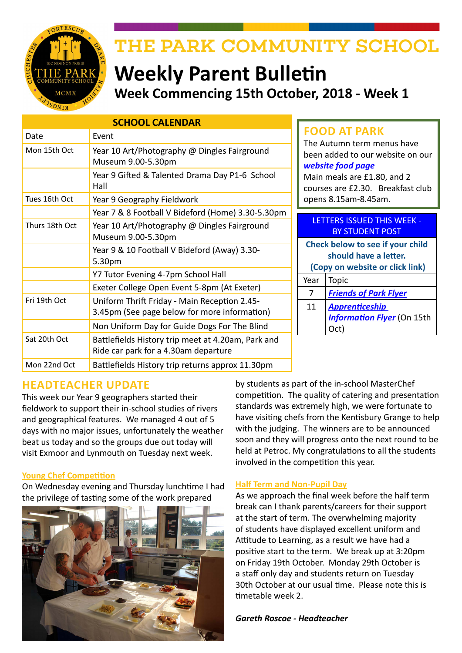

# THE PARK COMMUNITY SCHOOL

# **Weekly Parent Bulletin Week Commencing 15th October, 2018 - Week 1**

| <b>SCHOOL CALENDAR</b> |                                                                                              |  |  |
|------------------------|----------------------------------------------------------------------------------------------|--|--|
| Date                   | Event                                                                                        |  |  |
| Mon 15th Oct           | Year 10 Art/Photography @ Dingles Fairground<br>Museum 9.00-5.30pm                           |  |  |
|                        | Year 9 Gifted & Talented Drama Day P1-6 School<br>Hall                                       |  |  |
| Tues 16th Oct          | Year 9 Geography Fieldwork                                                                   |  |  |
|                        | Year 7 & 8 Football V Bideford (Home) 3.30-5.30pm                                            |  |  |
| Thurs 18th Oct         | Year 10 Art/Photography @ Dingles Fairground<br>Museum 9.00-5.30pm                           |  |  |
|                        | Year 9 & 10 Football V Bideford (Away) 3.30-<br>5.30pm                                       |  |  |
|                        | Y7 Tutor Evening 4-7pm School Hall                                                           |  |  |
|                        | Exeter College Open Event 5-8pm (At Exeter)                                                  |  |  |
| Fri 19th Oct           | Uniform Thrift Friday - Main Reception 2.45-<br>3.45pm (See page below for more information) |  |  |
|                        | Non Uniform Day for Guide Dogs For The Blind                                                 |  |  |
| Sat 20th Oct           | Battlefields History trip meet at 4.20am, Park and<br>Ride car park for a 4.30am departure   |  |  |
| Mon 22nd Oct           | Battlefields History trip returns approx 11.30pm                                             |  |  |

# **FOOD AT PARK**

The Autumn term menus have been added to our website on our *[website food page](http://www.theparkschool.org.uk/food-park)* Main meals are £1.80, and 2

courses are £2.30. Breakfast club opens 8.15am-8.45am.

#### LETTERS ISSUED THIS WEEK - BY STUDENT POST

| Check below to see if your child<br>should have a letter.<br>(Copy on website or click link) |                                                            |  |
|----------------------------------------------------------------------------------------------|------------------------------------------------------------|--|
| Year                                                                                         | Topic                                                      |  |
|                                                                                              | <b>Friends of Park Flyer</b>                               |  |
| 11                                                                                           | <b>Apprenticeship</b><br><b>Information Flyer</b> (On 15th |  |

# **HEADTEACHER UPDATE**

This week our Year 9 geographers started their fieldwork to support their in-school studies of rivers and geographical features. We managed 4 out of 5 days with no major issues, unfortunately the weather beat us today and so the groups due out today will visit Exmoor and Lynmouth on Tuesday next week.

#### **Young Chef Competition**

On Wednesday evening and Thursday lunchtime I had the privilege of tasting some of the work prepared



by students as part of the in-school MasterChef competition. The quality of catering and presentation standards was extremely high, we were fortunate to have visiting chefs from the Kentisbury Grange to help with the judging. The winners are to be announced soon and they will progress onto the next round to be held at Petroc. My congratulations to all the students involved in the competition this year.

#### **Half Term and Non-Pupil Day**

As we approach the final week before the half term break can I thank parents/careers for their support at the start of term. The overwhelming majority of students have displayed excellent uniform and Attitude to Learning, as a result we have had a positive start to the term. We break up at 3:20pm on Friday 19th October. Monday 29th October is a staff only day and students return on Tuesday 30th October at our usual time. Please note this is timetable week 2.

#### *Gareth Roscoe - Headteacher*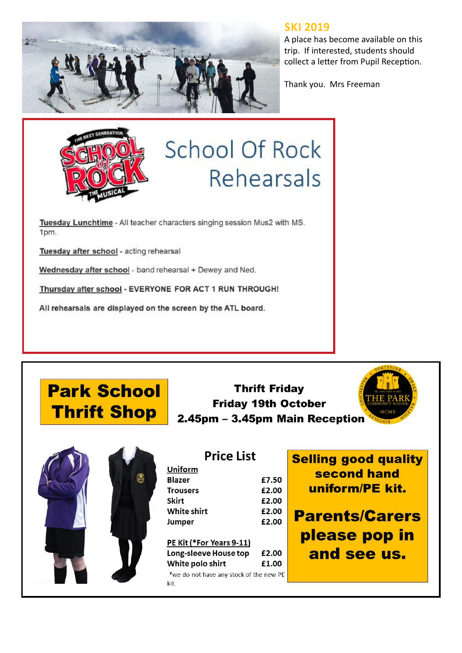

# **SKI 2019**

A place has become available on this trip. If interested, students should collect a letter from Pupil Reception.

Thank you. Mrs Freeman



# **School Of Rock** Rehearsals

Tuesday Lunchtime - All teacher characters singing session Mus2 with MS. 1pm.

Tuesday after school - acting rehearsal

Wednesday after school - band rehearsal + Dewey and Ned.

Thursday after school - EVERYONE FOR ACT 1 RUN THROUGH!

All rehearsals are displayed on the screen by the ATL board.

**Park School Thrift Shop** 



| <b>Thrift Friday</b>           |  |  |
|--------------------------------|--|--|
| <b>Friday 19th October</b>     |  |  |
| 2.45pm – 3.45pm Main Receptior |  |  |



| <b>Price List</b>  |       |  |
|--------------------|-------|--|
| Uniform            |       |  |
| <b>Blazer</b>      | £7.50 |  |
| <b>Trousers</b>    | £2.00 |  |
| <b>Skirt</b>       | £2.00 |  |
| <b>White shirt</b> | £2.00 |  |
| Jumper             | £2.00 |  |

PE Kit (\*For Years 9-11) Long-sleeve House top £2.00 White polo shirt £1.00

\*we do not have any stock of the new PE kit.

elling good quality second hand uniform/PE kit.

**Parents/Carers** please pop in and see us.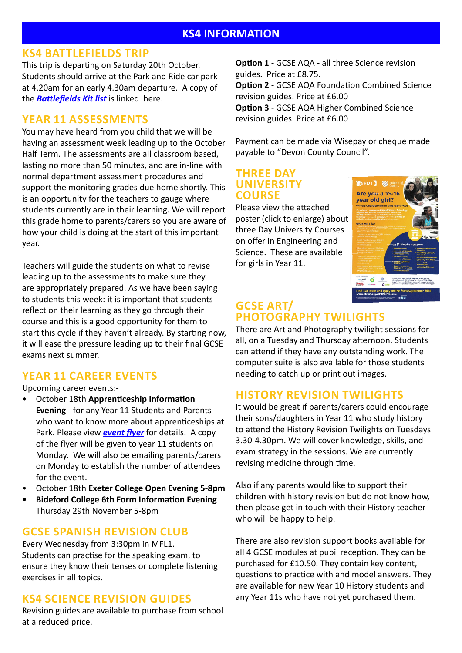#### **KS4 BATTLEFIELDS TRIP**

This trip is departing on Saturday 20th October. Students should arrive at the Park and Ride car park at 4.20am for an early 4.30am departure. A copy of the *[Battlefields Kit list](http://www.theparkschool.org.uk/sites/default/files/Battlefields-Kit-List18.pdf)* is linked here.

# **YEAR 11 ASSESSMENTS**

You may have heard from you child that we will be having an assessment week leading up to the October Half Term. The assessments are all classroom based, lasting no more than 50 minutes, and are in-line with normal department assessment procedures and support the monitoring grades due home shortly. This is an opportunity for the teachers to gauge where students currently are in their learning. We will report this grade home to parents/carers so you are aware of how your child is doing at the start of this important year.

Teachers will guide the students on what to revise leading up to the assessments to make sure they are appropriately prepared. As we have been saying to students this week: it is important that students reflect on their learning as they go through their course and this is a good opportunity for them to start this cycle if they haven't already. By starting now, it will ease the pressure leading up to their final GCSE exams next summer.

# **YEAR 11 CAREER EVENTS**

Upcoming career events:-

- October 18th **Apprenticeship Information Evening** - for any Year 11 Students and Parents who want to know more about apprenticeships at Park. Please view *[event flyer](http://www.theparkschool.org.uk/sites/default/files/Appr-Evening-Oct18.pdf)* for details. A copy of the flyer will be given to year 11 students on Monday. We will also be emailing parents/carers on Monday to establish the number of attendees for the event.
- October 18th **Exeter College Open Evening 5-8pm**
- **• Bideford College 6th Form Information Evening**  Thursday 29th November 5-8pm

# **GCSE SPANISH REVISION CLUB**

Every Wednesday from 3:30pm in MFL1. Students can practise for the speaking exam, to ensure they know their tenses or complete listening exercises in all topics.

# **KS4 SCIENCE REVISION GUIDES**

Revision guides are available to purchase from school at a reduced price.

**Option 1** - GCSE AQA - all three Science revision guides. Price at £8.75.

**Option 2** - GCSE AQA Foundation Combined Science revision guides. Price at £6.00

**Option 3** - GCSE AQA Higher Combined Science revision guides. Price at £6.00

Payment can be made via Wisepay or cheque made payable to "Devon County Council".

#### **THREE DAY UNIVERSITY COURSE**

Please view the attached poster (click to enlarge) about three Day University Courses on offer in Engineering and Science. These are available for girls in Year 11.



#### **GCSE ART/ PHOTOGRAPHY TWILIGHTS**

There are Art and Photography twilight sessions for all, on a Tuesday and Thursday afternoon. Students can attend if they have any outstanding work. The computer suite is also available for those students needing to catch up or print out images.

## **HISTORY REVISION TWILIGHTS**

It would be great if parents/carers could encourage their sons/daughters in Year 11 who study history to attend the History Revision Twilights on Tuesdays 3.30-4.30pm. We will cover knowledge, skills, and exam strategy in the sessions. We are currently revising medicine through time.

Also if any parents would like to support their children with history revision but do not know how, then please get in touch with their History teacher who will be happy to help.

There are also revision support books available for all 4 GCSE modules at pupil reception. They can be purchased for £10.50. They contain key content, questions to practice with and model answers. They are available for new Year 10 History students and any Year 11s who have not yet purchased them.